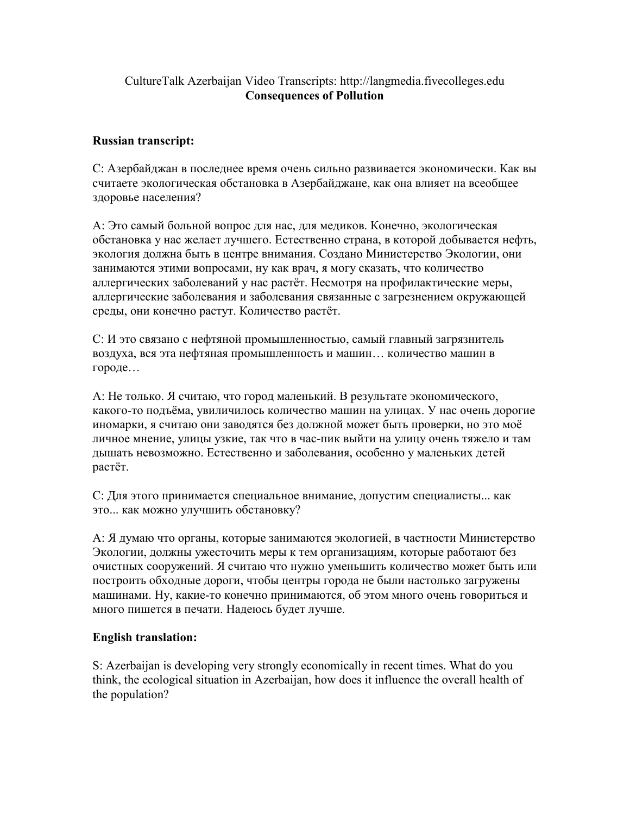## CultureTalk Azerbaijan Video Transcripts: http://langmedia.fivecolleges.edu Consequences of Pollution

## Russian transcript:

С: Азербайджан в последнее время очень сильно развивается экономически. Как вы считаете экологическая обстановка в Азербайджане, как она влияет на всеобщее здоровье населения?

А: Это самый больной вопрос для нас, для медиков. Конечно, экологическая обстановка у нас желает лучшего. Естественно страна, в которой добывается нефть, экология должна быть в центре внимания. Создано Министерство Экологии, они занимаются этими вопросами, ну как врач, я могу сказать, что количество аллергических заболеваний у нас растёт. Несмотря на профилактические меры, аллергические заболевания и заболевания связанные с загрезнением окружающей среды, они конечно растут. Количество растёт.

С: И это связано с нефтяной промышленностью, самый главный загрязнитель воздуха, вся эта нефтяная промышленность и машин… количество машин в городе…

А: Не только. Я считаю, что город маленький. В результате экономического, какого-то подъёма, увиличилось количество машин на улицах. У нас очень дорогие иномарки, я считаю они заводятся без должной может быть проверки, но это моё личное мнение, улицы узкие, так что в час-пик выйти на улицу очень тяжело и там дышать невозможно. Естественно и заболевания, особенно у маленьких детей растёт.

С: Для этого принимается специальное внимание, допустим специалисты... как это... как можно улучшить обстановку?

А: Я думаю что органы, которые занимаются экологией, в частности Министерство Экологии, должны ужесточить меры к тем организациям, которые работают без очистных сооружений. Я считаю что нужно уменьшить количество может быть или построить обходные дороги, чтобы центры города не были настолько загружены машинами. Ну, какие-то конечно принимаются, об этом много очень говориться и много пишется в печати. Надеюсь будет лучше.

## English translation:

S: Azerbaijan is developing very strongly economically in recent times. What do you think, the ecological situation in Azerbaijan, how does it influence the overall health of the population?